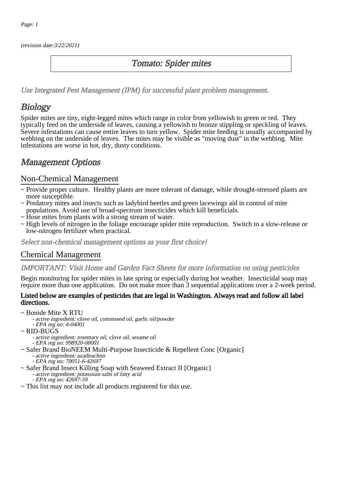(revision date:3/22/2021)

## Tomato: Spider mites

[Use Integrated Pest Management \(IPM\) for successful plant problem management.](http://pep.wsu.edu/Home_Garden/H_G_Pesticide_info/urban_Integrated_Pest_Managmen/)

# **Biology**

Spider mites are tiny, eight-legged mites which range in color from yellowish to green or red. They typically feed on the underside of leaves, causing a yellowish to bronze stippling or speckling of leaves. Severe infestations can cause entire leaves to turn yellow. Spider mite feeding is usually accompanied by webbing on the underside of leaves. The mites may be visible as "moving dust" in the webbing. Mite infestations are worse in hot, dry, dusty conditions.

## Management Options

### Non-Chemical Management

- ~ Provide proper culture. Healthy plants are more tolerant of damage, while drought-stressed plants are more susceptible.
- ~ Predatory mites and insects such as ladybird beetles and green lacewings aid in control of mite populations. Avoid use of broad-spectrum insecticides which kill beneficials.
- ~ Hose mites from plants with a strong stream of water.
- ~ High levels of nitrogen in the foliage encourage spider mite reproduction. Switch to a slow-release or low-nitrogen fertilizer when practical.

Select non-chemical management options as your first choice!

## Chemical Management

#### IMPORTANT: [Visit Home and Garden Fact Sheets for more information on using pesticides](http://pep.wsu.edu/Home_Garden/H_G_Pesticide_info/)

Begin monitoring for spider mites in late spring or especially during hot weather. Insecticidal soap may require more than one application. Do not make more than 3 sequential applications over a 2-week period.

#### Listed below are examples of pesticides that are legal in Washington. Always read and follow all label directions.

- ~ Bonide Mite X RTU
	- active ingredient: clove oil, cottonseed oil, garlic oil/powder
	- EPA reg no: 4-04001
- ~ RID-BUGS
	- active ingredient: rosemary oil, clove oil, sesame oil - EPA reg no: 998920-08001
- ~ Safer Brand BioNEEM Multi-Purpose Insecticide & Repellent Conc [Organic]
	- active ingredient: azadirachtin
	- EPA reg no: 70051-6-42697
- ~ Safer Brand Insect Killing Soap with Seaweed Extract II [Organic]
	- active ingredient: potassium salts of fatty acid
		- EPA reg no: 42697-59
- ~ This list may not include all products registered for this use.